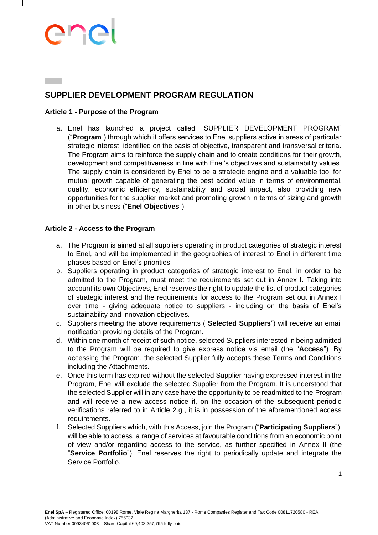# andi

### **SUPPLIER DEVELOPMENT PROGRAM REGULATION**

#### **Article 1 - Purpose of the Program**

a. Enel has launched a project called "SUPPLIER DEVELOPMENT PROGRAM" ("**Program**") through which it offers services to Enel suppliers active in areas of particular strategic interest, identified on the basis of objective, transparent and transversal criteria. The Program aims to reinforce the supply chain and to create conditions for their growth, development and competitiveness in line with Enel's objectives and sustainability values. The supply chain is considered by Enel to be a strategic engine and a valuable tool for mutual growth capable of generating the best added value in terms of environmental, quality, economic efficiency, sustainability and social impact, also providing new opportunities for the supplier market and promoting growth in terms of sizing and growth in other business ("**Enel Objectives**").

#### **Article 2 - Access to the Program**

- a. The Program is aimed at all suppliers operating in product categories of strategic interest to Enel, and will be implemented in the geographies of interest to Enel in different time phases based on Enel's priorities.
- b. Suppliers operating in product categories of strategic interest to Enel, in order to be admitted to the Program, must meet the requirements set out in Annex I. Taking into account its own Objectives, Enel reserves the right to update the list of product categories of strategic interest and the requirements for access to the Program set out in Annex I over time - giving adequate notice to suppliers - including on the basis of Enel's sustainability and innovation objectives.
- c. Suppliers meeting the above requirements ("**Selected Suppliers**") will receive an email notification providing details of the Program.
- d. Within one month of receipt of such notice, selected Suppliers interested in being admitted to the Program will be required to give express notice via email (the "**Access**"). By accessing the Program, the selected Supplier fully accepts these Terms and Conditions including the Attachments.
- e. Once this term has expired without the selected Supplier having expressed interest in the Program, Enel will exclude the selected Supplier from the Program. It is understood that the selected Supplier will in any case have the opportunity to be readmitted to the Program and will receive a new access notice if, on the occasion of the subsequent periodic verifications referred to in Article 2.g., it is in possession of the aforementioned access requirements.
- f. Selected Suppliers which, with this Access, join the Program ("**Participating Suppliers**"), will be able to access a range of services at favourable conditions from an economic point of view and/or regarding access to the service, as further specified in Annex II (the "**Service Portfolio**"). Enel reserves the right to periodically update and integrate the Service Portfolio.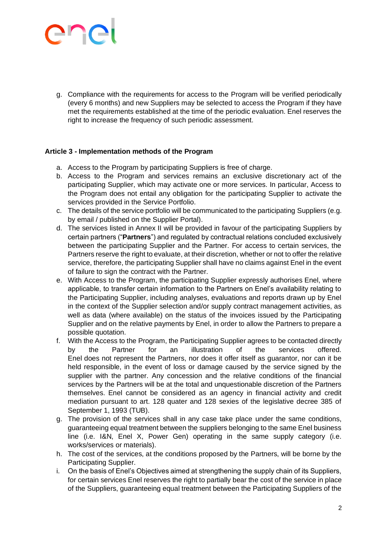# ener

g. Compliance with the requirements for access to the Program will be verified periodically (every 6 months) and new Suppliers may be selected to access the Program if they have met the requirements established at the time of the periodic evaluation. Enel reserves the right to increase the frequency of such periodic assessment.

#### **Article 3 - Implementation methods of the Program**

- a. Access to the Program by participating Suppliers is free of charge.
- b. Access to the Program and services remains an exclusive discretionary act of the participating Supplier, which may activate one or more services. In particular, Access to the Program does not entail any obligation for the participating Supplier to activate the services provided in the Service Portfolio.
- c. The details of the service portfolio will be communicated to the participating Suppliers (e.g. by email / published on the Supplier Portal).
- d. The services listed in Annex II will be provided in favour of the participating Suppliers by certain partners ("**Partners**") and regulated by contractual relations concluded exclusively between the participating Supplier and the Partner. For access to certain services, the Partners reserve the right to evaluate, at their discretion, whether or not to offer the relative service, therefore, the participating Supplier shall have no claims against Enel in the event of failure to sign the contract with the Partner.
- e. With Access to the Program, the participating Supplier expressly authorises Enel, where applicable, to transfer certain information to the Partners on Enel's availability relating to the Participating Supplier, including analyses, evaluations and reports drawn up by Enel in the context of the Supplier selection and/or supply contract management activities, as well as data (where available) on the status of the invoices issued by the Participating Supplier and on the relative payments by Enel, in order to allow the Partners to prepare a possible quotation.
- f. With the Access to the Program, the Participating Supplier agrees to be contacted directly by the Partner for an illustration of the services offered. Enel does not represent the Partners, nor does it offer itself as guarantor, nor can it be held responsible, in the event of loss or damage caused by the service signed by the supplier with the partner. Any concession and the relative conditions of the financial services by the Partners will be at the total and unquestionable discretion of the Partners themselves. Enel cannot be considered as an agency in financial activity and credit mediation pursuant to art. 128 quater and 128 sexies of the legislative decree 385 of September 1, 1993 (TUB).
- g. The provision of the services shall in any case take place under the same conditions, guaranteeing equal treatment between the suppliers belonging to the same Enel business line (i.e. I&N, Enel X, Power Gen) operating in the same supply category (i.e. works/services or materials).
- h. The cost of the services, at the conditions proposed by the Partners, will be borne by the Participating Supplier.
- i. On the basis of Enel's Objectives aimed at strengthening the supply chain of its Suppliers, for certain services Enel reserves the right to partially bear the cost of the service in place of the Suppliers, guaranteeing equal treatment between the Participating Suppliers of the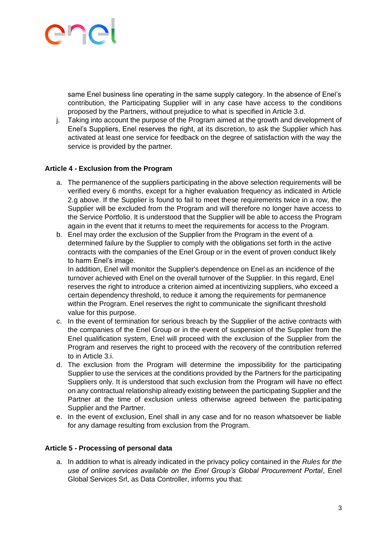# ener

same Enel business line operating in the same supply category. In the absence of Enel's contribution, the Participating Supplier will in any case have access to the conditions proposed by the Partners, without prejudice to what is specified in Article 3.d.

j. Taking into account the purpose of the Program aimed at the growth and development of Enel's Suppliers, Enel reserves the right, at its discretion, to ask the Supplier which has activated at least one service for feedback on the degree of satisfaction with the way the service is provided by the partner.

#### **Article 4 - Exclusion from the Program**

- a. The permanence of the suppliers participating in the above selection requirements will be verified every 6 months, except for a higher evaluation frequency as indicated in Article 2.g above. If the Supplier is found to fail to meet these requirements twice in a row, the Supplier will be excluded from the Program and will therefore no longer have access to the Service Portfolio. It is understood that the Supplier will be able to access the Program again in the event that it returns to meet the requirements for access to the Program.
- b. Enel may order the exclusion of the Supplier from the Program in the event of a determined failure by the Supplier to comply with the obligations set forth in the active contracts with the companies of the Enel Group or in the event of proven conduct likely to harm Enel's image.

In addition, Enel will monitor the Supplier's dependence on Enel as an incidence of the turnover achieved with Enel on the overall turnover of the Supplier. In this regard, Enel reserves the right to introduce a criterion aimed at incentivizing suppliers, who exceed a certain dependency threshold, to reduce it among the requirements for permanence within the Program. Enel reserves the right to communicate the significant threshold value for this purpose.

- c. In the event of termination for serious breach by the Supplier of the active contracts with the companies of the Enel Group or in the event of suspension of the Supplier from the Enel qualification system, Enel will proceed with the exclusion of the Supplier from the Program and reserves the right to proceed with the recovery of the contribution referred to in Article 3.i.
- d. The exclusion from the Program will determine the impossibility for the participating Supplier to use the services at the conditions provided by the Partners for the participating Suppliers only. It is understood that such exclusion from the Program will have no effect on any contractual relationship already existing between the participating Supplier and the Partner at the time of exclusion unless otherwise agreed between the participating Supplier and the Partner.
- e. In the event of exclusion, Enel shall in any case and for no reason whatsoever be liable for any damage resulting from exclusion from the Program.

#### **Article 5 - Processing of personal data**

a. In addition to what is already indicated in the privacy policy contained in the *Rules for the use of online services available on the Enel Group's Global Procurement Portal*, Enel Global Services Srl, as Data Controller, informs you that: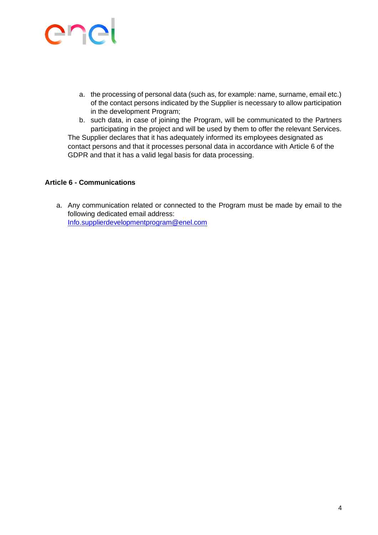# enel

- a. the processing of personal data (such as, for example: name, surname, email etc.) of the contact persons indicated by the Supplier is necessary to allow participation in the development Program;
- b. such data, in case of joining the Program, will be communicated to the Partners participating in the project and will be used by them to offer the relevant Services. The Supplier declares that it has adequately informed its employees designated as contact persons and that it processes personal data in accordance with Article 6 of the GDPR and that it has a valid legal basis for data processing.

#### **Article 6 - Communications**

a. Any communication related or connected to the Program must be made by email to the following dedicated email address: [Info.supplierdevelopmentprogram@enel.com](mailto:Info.supplierdevelopmentprogram@enel.com)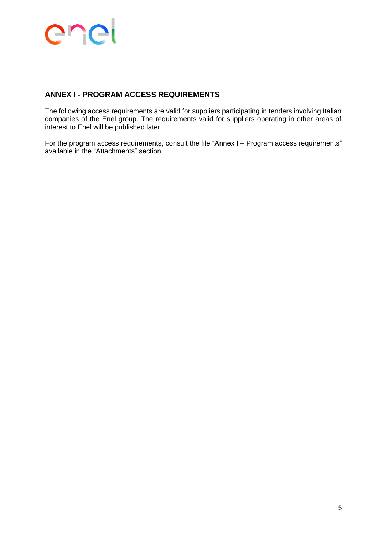### enel

### **ANNEX I - PROGRAM ACCESS REQUIREMENTS**

The following access requirements are valid for suppliers participating in tenders involving Italian companies of the Enel group. The requirements valid for suppliers operating in other areas of interest to Enel will be published later.

For the program access requirements, consult the file "Annex I – Program access requirements" available in the "Attachments" section.